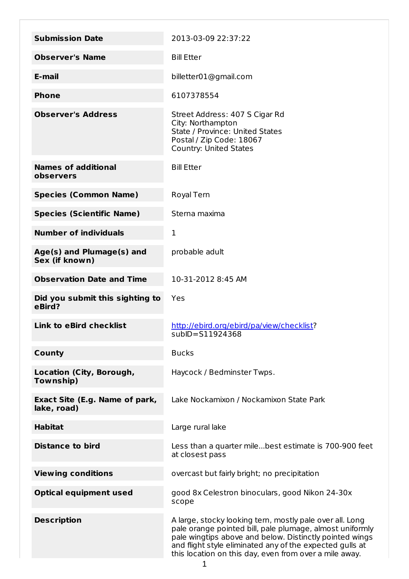| <b>Submission Date</b>                        | 2013-03-09 22:37:22                                                                                                                                                                                                                                                                                   |
|-----------------------------------------------|-------------------------------------------------------------------------------------------------------------------------------------------------------------------------------------------------------------------------------------------------------------------------------------------------------|
| <b>Observer's Name</b>                        | <b>Bill Etter</b>                                                                                                                                                                                                                                                                                     |
| E-mail                                        | billetter01@gmail.com                                                                                                                                                                                                                                                                                 |
| <b>Phone</b>                                  | 6107378554                                                                                                                                                                                                                                                                                            |
| <b>Observer's Address</b>                     | Street Address: 407 S Cigar Rd<br>City: Northampton<br>State / Province: United States<br>Postal / Zip Code: 18067<br><b>Country: United States</b>                                                                                                                                                   |
| <b>Names of additional</b><br>observers       | <b>Bill Etter</b>                                                                                                                                                                                                                                                                                     |
| <b>Species (Common Name)</b>                  | Royal Tern                                                                                                                                                                                                                                                                                            |
| <b>Species (Scientific Name)</b>              | Sterna maxima                                                                                                                                                                                                                                                                                         |
| <b>Number of individuals</b>                  | 1                                                                                                                                                                                                                                                                                                     |
| Age(s) and Plumage(s) and<br>Sex (if known)   | probable adult                                                                                                                                                                                                                                                                                        |
| <b>Observation Date and Time</b>              | 10-31-2012 8:45 AM                                                                                                                                                                                                                                                                                    |
| Did you submit this sighting to<br>eBird?     | Yes                                                                                                                                                                                                                                                                                                   |
| <b>Link to eBird checklist</b>                | http://ebird.org/ebird/pa/view/checklist?<br>subID=S11924368                                                                                                                                                                                                                                          |
| County                                        | <b>Bucks</b>                                                                                                                                                                                                                                                                                          |
| Location (City, Borough,<br>Township)         | Haycock / Bedminster Twps.                                                                                                                                                                                                                                                                            |
| Exact Site (E.g. Name of park,<br>lake, road) | Lake Nockamixon / Nockamixon State Park                                                                                                                                                                                                                                                               |
| <b>Habitat</b>                                | Large rural lake                                                                                                                                                                                                                                                                                      |
| <b>Distance to bird</b>                       | Less than a quarter milebest estimate is 700-900 feet<br>at closest pass                                                                                                                                                                                                                              |
| <b>Viewing conditions</b>                     | overcast but fairly bright; no precipitation                                                                                                                                                                                                                                                          |
| <b>Optical equipment used</b>                 | good 8x Celestron binoculars, good Nikon 24-30x<br>scope                                                                                                                                                                                                                                              |
| <b>Description</b>                            | A large, stocky looking tern, mostly pale over all. Long<br>pale orange pointed bill, pale plumage, almost uniformly<br>pale wingtips above and below. Distinctly pointed wings<br>and flight style eliminated any of the expected gulls at<br>this location on this day, even from over a mile away. |